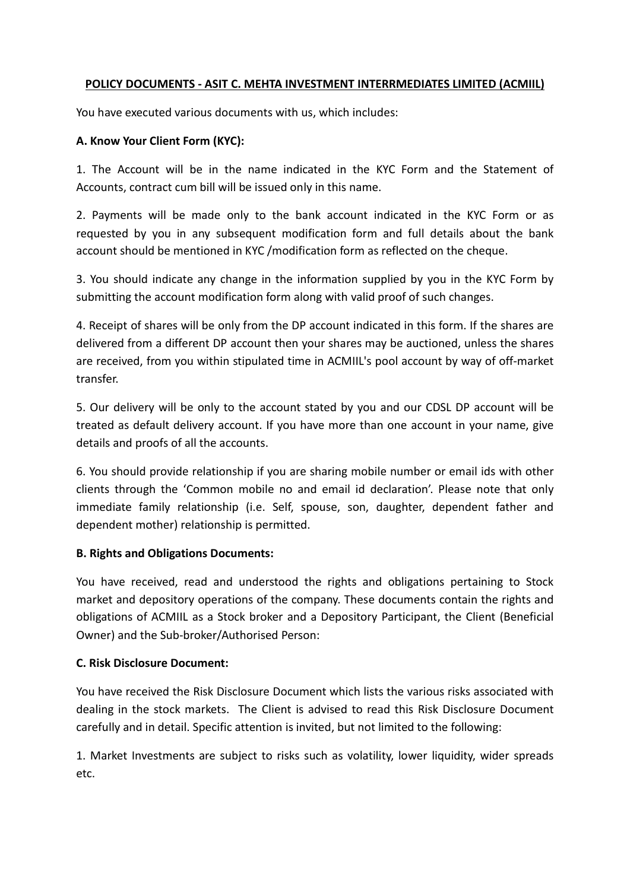## POLICY DOCUMENTS - ASIT C. MEHTA INVESTMENT INTERRMEDIATES LIMITED (ACMIIL)

You have executed various documents with us, which includes:

### A. Know Your Client Form (KYC):

1. The Account will be in the name indicated in the KYC Form and the Statement of Accounts, contract cum bill will be issued only in this name.

2. Payments will be made only to the bank account indicated in the KYC Form or as requested by you in any subsequent modification form and full details about the bank account should be mentioned in KYC /modification form as reflected on the cheque.

3. You should indicate any change in the information supplied by you in the KYC Form by submitting the account modification form along with valid proof of such changes.

4. Receipt of shares will be only from the DP account indicated in this form. If the shares are delivered from a different DP account then your shares may be auctioned, unless the shares are received, from you within stipulated time in ACMIIL's pool account by way of off-market transfer.

5. Our delivery will be only to the account stated by you and our CDSL DP account will be treated as default delivery account. If you have more than one account in your name, give details and proofs of all the accounts.

6. You should provide relationship if you are sharing mobile number or email ids with other clients through the 'Common mobile no and email id declaration'. Please note that only immediate family relationship (i.e. Self, spouse, son, daughter, dependent father and dependent mother) relationship is permitted.

## B. Rights and Obligations Documents:

You have received, read and understood the rights and obligations pertaining to Stock market and depository operations of the company. These documents contain the rights and obligations of ACMIIL as a Stock broker and a Depository Participant, the Client (Beneficial Owner) and the Sub-broker/Authorised Person:

## C. Risk Disclosure Document:

You have received the Risk Disclosure Document which lists the various risks associated with dealing in the stock markets. The Client is advised to read this Risk Disclosure Document carefully and in detail. Specific attention is invited, but not limited to the following:

1. Market Investments are subject to risks such as volatility, lower liquidity, wider spreads etc.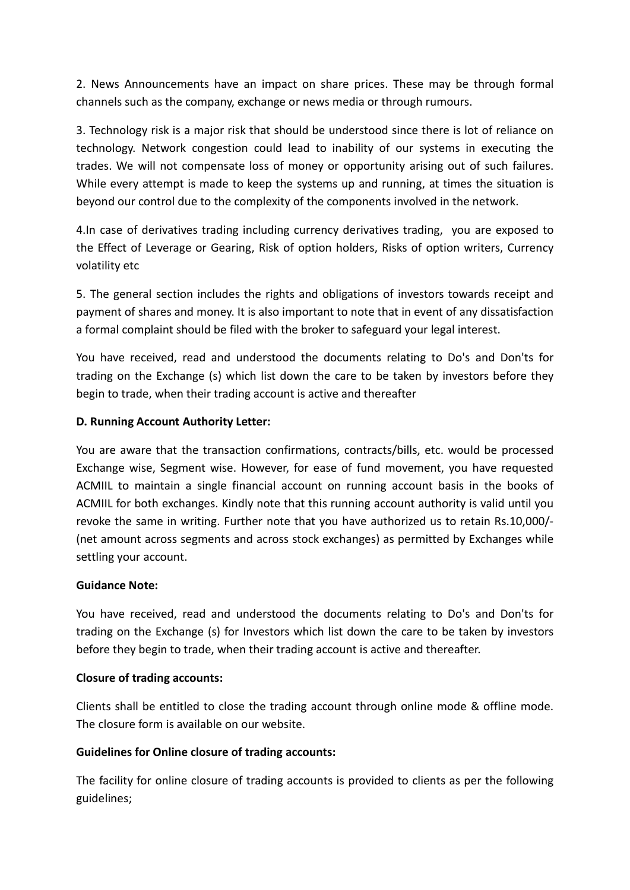2. News Announcements have an impact on share prices. These may be through formal channels such as the company, exchange or news media or through rumours.

3. Technology risk is a major risk that should be understood since there is lot of reliance on technology. Network congestion could lead to inability of our systems in executing the trades. We will not compensate loss of money or opportunity arising out of such failures. While every attempt is made to keep the systems up and running, at times the situation is beyond our control due to the complexity of the components involved in the network.

4.In case of derivatives trading including currency derivatives trading, you are exposed to the Effect of Leverage or Gearing, Risk of option holders, Risks of option writers, Currency volatility etc

5. The general section includes the rights and obligations of investors towards receipt and payment of shares and money. It is also important to note that in event of any dissatisfaction a formal complaint should be filed with the broker to safeguard your legal interest.

You have received, read and understood the documents relating to Do's and Don'ts for trading on the Exchange (s) which list down the care to be taken by investors before they begin to trade, when their trading account is active and thereafter

### D. Running Account Authority Letter:

You are aware that the transaction confirmations, contracts/bills, etc. would be processed Exchange wise, Segment wise. However, for ease of fund movement, you have requested ACMIIL to maintain a single financial account on running account basis in the books of ACMIIL for both exchanges. Kindly note that this running account authority is valid until you revoke the same in writing. Further note that you have authorized us to retain Rs.10,000/- (net amount across segments and across stock exchanges) as permitted by Exchanges while settling your account.

#### Guidance Note:

You have received, read and understood the documents relating to Do's and Don'ts for trading on the Exchange (s) for Investors which list down the care to be taken by investors before they begin to trade, when their trading account is active and thereafter.

#### Closure of trading accounts:

Clients shall be entitled to close the trading account through online mode & offline mode. The closure form is available on our website.

## Guidelines for Online closure of trading accounts:

The facility for online closure of trading accounts is provided to clients as per the following guidelines;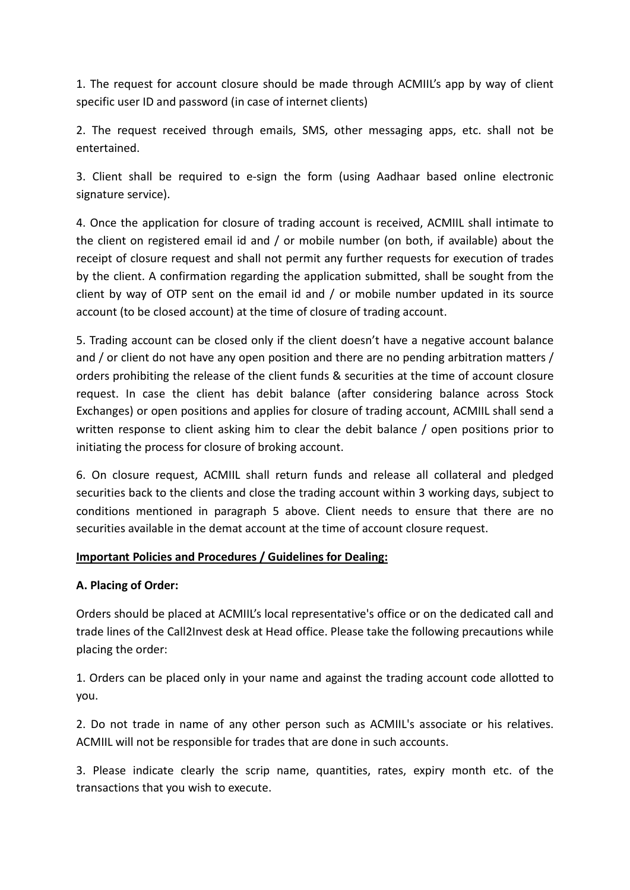1. The request for account closure should be made through ACMIIL's app by way of client specific user ID and password (in case of internet clients)

2. The request received through emails, SMS, other messaging apps, etc. shall not be entertained.

3. Client shall be required to e-sign the form (using Aadhaar based online electronic signature service).

4. Once the application for closure of trading account is received, ACMIIL shall intimate to the client on registered email id and / or mobile number (on both, if available) about the receipt of closure request and shall not permit any further requests for execution of trades by the client. A confirmation regarding the application submitted, shall be sought from the client by way of OTP sent on the email id and / or mobile number updated in its source account (to be closed account) at the time of closure of trading account.

5. Trading account can be closed only if the client doesn't have a negative account balance and / or client do not have any open position and there are no pending arbitration matters / orders prohibiting the release of the client funds & securities at the time of account closure request. In case the client has debit balance (after considering balance across Stock Exchanges) or open positions and applies for closure of trading account, ACMIIL shall send a written response to client asking him to clear the debit balance / open positions prior to initiating the process for closure of broking account.

6. On closure request, ACMIIL shall return funds and release all collateral and pledged securities back to the clients and close the trading account within 3 working days, subject to conditions mentioned in paragraph 5 above. Client needs to ensure that there are no securities available in the demat account at the time of account closure request.

## Important Policies and Procedures / Guidelines for Dealing:

## A. Placing of Order:

Orders should be placed at ACMIIL's local representative's office or on the dedicated call and trade lines of the Call2Invest desk at Head office. Please take the following precautions while placing the order:

1. Orders can be placed only in your name and against the trading account code allotted to you.

2. Do not trade in name of any other person such as ACMIIL's associate or his relatives. ACMIIL will not be responsible for trades that are done in such accounts.

3. Please indicate clearly the scrip name, quantities, rates, expiry month etc. of the transactions that you wish to execute.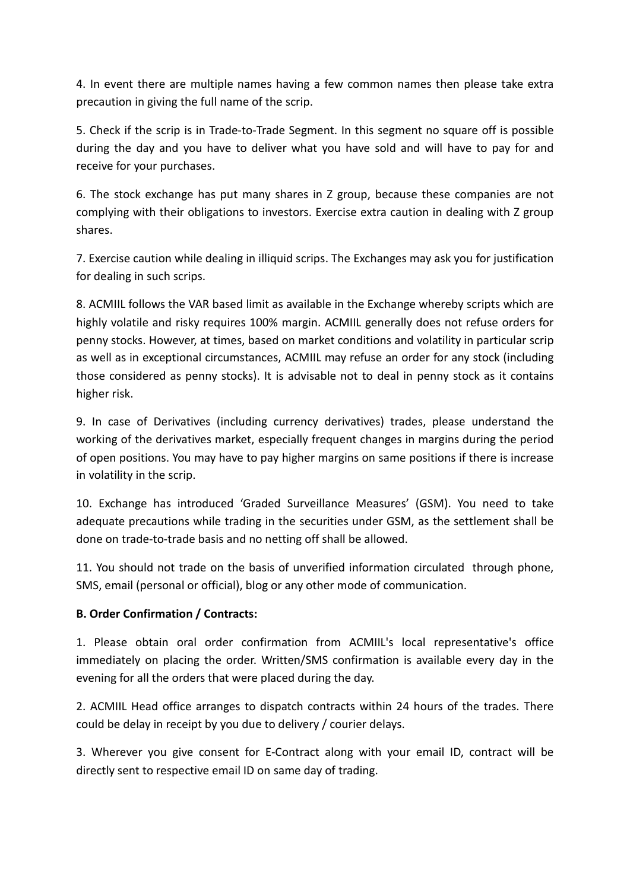4. In event there are multiple names having a few common names then please take extra precaution in giving the full name of the scrip.

5. Check if the scrip is in Trade-to-Trade Segment. In this segment no square off is possible during the day and you have to deliver what you have sold and will have to pay for and receive for your purchases.

6. The stock exchange has put many shares in Z group, because these companies are not complying with their obligations to investors. Exercise extra caution in dealing with Z group shares.

7. Exercise caution while dealing in illiquid scrips. The Exchanges may ask you for justification for dealing in such scrips.

8. ACMIIL follows the VAR based limit as available in the Exchange whereby scripts which are highly volatile and risky requires 100% margin. ACMIIL generally does not refuse orders for penny stocks. However, at times, based on market conditions and volatility in particular scrip as well as in exceptional circumstances, ACMIIL may refuse an order for any stock (including those considered as penny stocks). It is advisable not to deal in penny stock as it contains higher risk.

9. In case of Derivatives (including currency derivatives) trades, please understand the working of the derivatives market, especially frequent changes in margins during the period of open positions. You may have to pay higher margins on same positions if there is increase in volatility in the scrip.

10. Exchange has introduced 'Graded Surveillance Measures' (GSM). You need to take adequate precautions while trading in the securities under GSM, as the settlement shall be done on trade-to-trade basis and no netting off shall be allowed.

11. You should not trade on the basis of unverified information circulated through phone, SMS, email (personal or official), blog or any other mode of communication.

## B. Order Confirmation / Contracts:

1. Please obtain oral order confirmation from ACMIIL's local representative's office immediately on placing the order. Written/SMS confirmation is available every day in the evening for all the orders that were placed during the day.

2. ACMIIL Head office arranges to dispatch contracts within 24 hours of the trades. There could be delay in receipt by you due to delivery / courier delays.

3. Wherever you give consent for E-Contract along with your email ID, contract will be directly sent to respective email ID on same day of trading.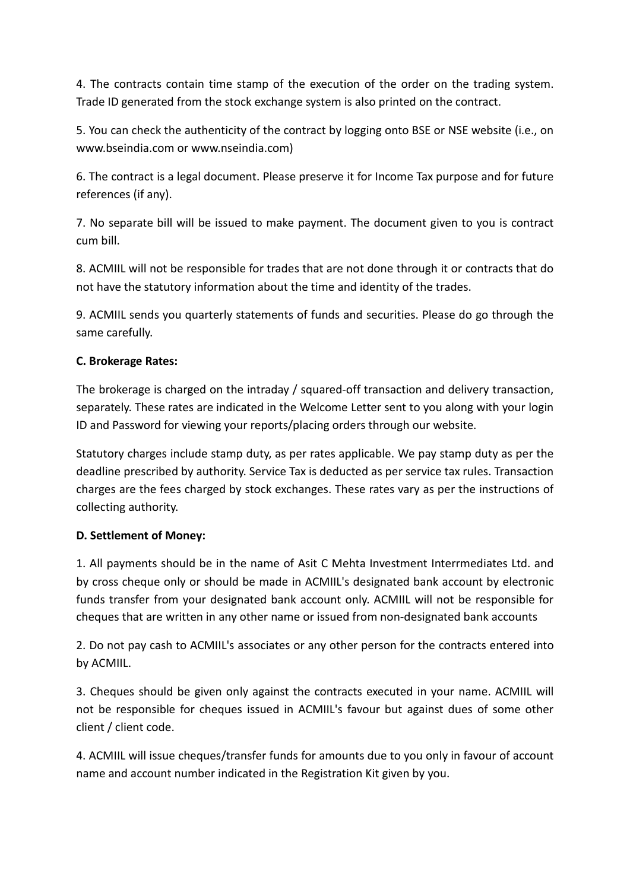4. The contracts contain time stamp of the execution of the order on the trading system. Trade ID generated from the stock exchange system is also printed on the contract.

5. You can check the authenticity of the contract by logging onto BSE or NSE website (i.e., on www.bseindia.com or www.nseindia.com)

6. The contract is a legal document. Please preserve it for Income Tax purpose and for future references (if any).

7. No separate bill will be issued to make payment. The document given to you is contract cum bill.

8. ACMIIL will not be responsible for trades that are not done through it or contracts that do not have the statutory information about the time and identity of the trades.

9. ACMIIL sends you quarterly statements of funds and securities. Please do go through the same carefully.

# C. Brokerage Rates:

The brokerage is charged on the intraday / squared-off transaction and delivery transaction, separately. These rates are indicated in the Welcome Letter sent to you along with your login ID and Password for viewing your reports/placing orders through our website.

Statutory charges include stamp duty, as per rates applicable. We pay stamp duty as per the deadline prescribed by authority. Service Tax is deducted as per service tax rules. Transaction charges are the fees charged by stock exchanges. These rates vary as per the instructions of collecting authority.

## D. Settlement of Money:

1. All payments should be in the name of Asit C Mehta Investment Interrmediates Ltd. and by cross cheque only or should be made in ACMIIL's designated bank account by electronic funds transfer from your designated bank account only. ACMIIL will not be responsible for cheques that are written in any other name or issued from non-designated bank accounts

2. Do not pay cash to ACMIIL's associates or any other person for the contracts entered into by ACMIIL.

3. Cheques should be given only against the contracts executed in your name. ACMIIL will not be responsible for cheques issued in ACMIIL's favour but against dues of some other client / client code.

4. ACMIIL will issue cheques/transfer funds for amounts due to you only in favour of account name and account number indicated in the Registration Kit given by you.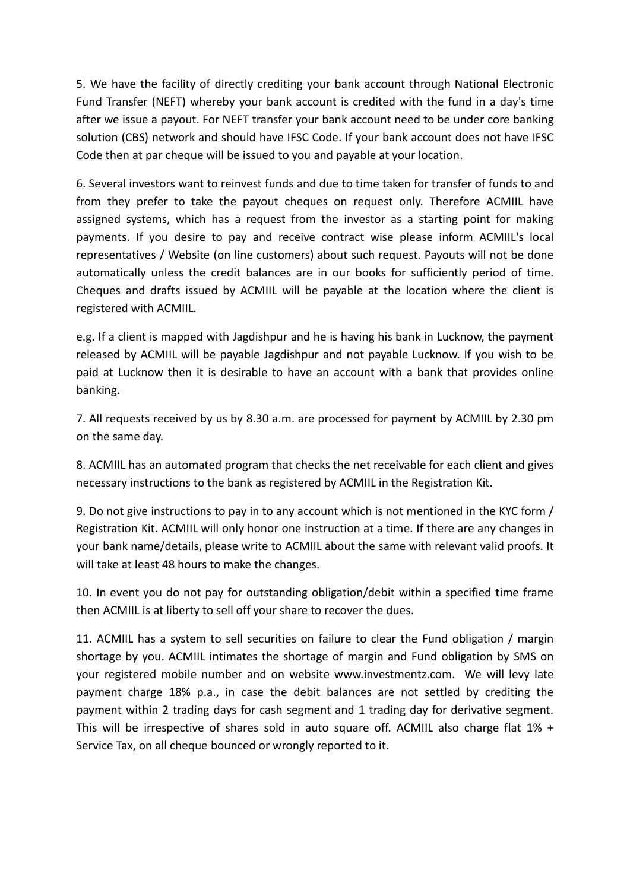5. We have the facility of directly crediting your bank account through National Electronic Fund Transfer (NEFT) whereby your bank account is credited with the fund in a day's time after we issue a payout. For NEFT transfer your bank account need to be under core banking solution (CBS) network and should have IFSC Code. If your bank account does not have IFSC Code then at par cheque will be issued to you and payable at your location.

6. Several investors want to reinvest funds and due to time taken for transfer of funds to and from they prefer to take the payout cheques on request only. Therefore ACMIIL have assigned systems, which has a request from the investor as a starting point for making payments. If you desire to pay and receive contract wise please inform ACMIIL's local representatives / Website (on line customers) about such request. Payouts will not be done automatically unless the credit balances are in our books for sufficiently period of time. Cheques and drafts issued by ACMIIL will be payable at the location where the client is registered with ACMIIL.

e.g. If a client is mapped with Jagdishpur and he is having his bank in Lucknow, the payment released by ACMIIL will be payable Jagdishpur and not payable Lucknow. If you wish to be paid at Lucknow then it is desirable to have an account with a bank that provides online banking.

7. All requests received by us by 8.30 a.m. are processed for payment by ACMIIL by 2.30 pm on the same day.

8. ACMIIL has an automated program that checks the net receivable for each client and gives necessary instructions to the bank as registered by ACMIIL in the Registration Kit.

9. Do not give instructions to pay in to any account which is not mentioned in the KYC form / Registration Kit. ACMIIL will only honor one instruction at a time. If there are any changes in your bank name/details, please write to ACMIIL about the same with relevant valid proofs. It will take at least 48 hours to make the changes.

10. In event you do not pay for outstanding obligation/debit within a specified time frame then ACMIIL is at liberty to sell off your share to recover the dues.

11. ACMIIL has a system to sell securities on failure to clear the Fund obligation / margin shortage by you. ACMIIL intimates the shortage of margin and Fund obligation by SMS on your registered mobile number and on website www.investmentz.com. We will levy late payment charge 18% p.a., in case the debit balances are not settled by crediting the payment within 2 trading days for cash segment and 1 trading day for derivative segment. This will be irrespective of shares sold in auto square off. ACMIIL also charge flat  $1\%$  + Service Tax, on all cheque bounced or wrongly reported to it.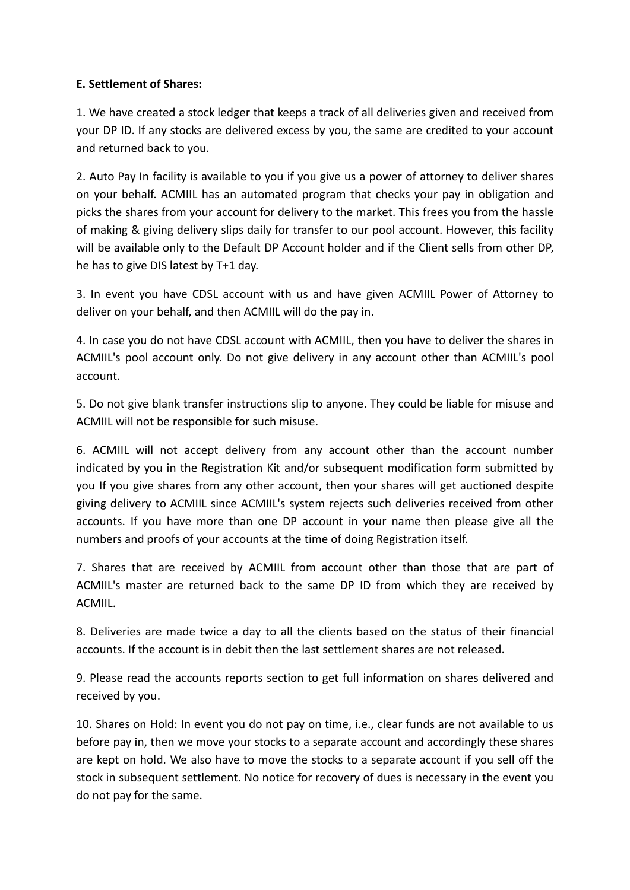## E. Settlement of Shares:

1. We have created a stock ledger that keeps a track of all deliveries given and received from your DP ID. If any stocks are delivered excess by you, the same are credited to your account and returned back to you.

2. Auto Pay In facility is available to you if you give us a power of attorney to deliver shares on your behalf. ACMIIL has an automated program that checks your pay in obligation and picks the shares from your account for delivery to the market. This frees you from the hassle of making & giving delivery slips daily for transfer to our pool account. However, this facility will be available only to the Default DP Account holder and if the Client sells from other DP, he has to give DIS latest by T+1 day.

3. In event you have CDSL account with us and have given ACMIIL Power of Attorney to deliver on your behalf, and then ACMIIL will do the pay in.

4. In case you do not have CDSL account with ACMIIL, then you have to deliver the shares in ACMIIL's pool account only. Do not give delivery in any account other than ACMIIL's pool account.

5. Do not give blank transfer instructions slip to anyone. They could be liable for misuse and ACMIIL will not be responsible for such misuse.

6. ACMIIL will not accept delivery from any account other than the account number indicated by you in the Registration Kit and/or subsequent modification form submitted by you If you give shares from any other account, then your shares will get auctioned despite giving delivery to ACMIIL since ACMIIL's system rejects such deliveries received from other accounts. If you have more than one DP account in your name then please give all the numbers and proofs of your accounts at the time of doing Registration itself.

7. Shares that are received by ACMIIL from account other than those that are part of ACMIIL's master are returned back to the same DP ID from which they are received by ACMIIL.

8. Deliveries are made twice a day to all the clients based on the status of their financial accounts. If the account is in debit then the last settlement shares are not released.

9. Please read the accounts reports section to get full information on shares delivered and received by you.

10. Shares on Hold: In event you do not pay on time, i.e., clear funds are not available to us before pay in, then we move your stocks to a separate account and accordingly these shares are kept on hold. We also have to move the stocks to a separate account if you sell off the stock in subsequent settlement. No notice for recovery of dues is necessary in the event you do not pay for the same.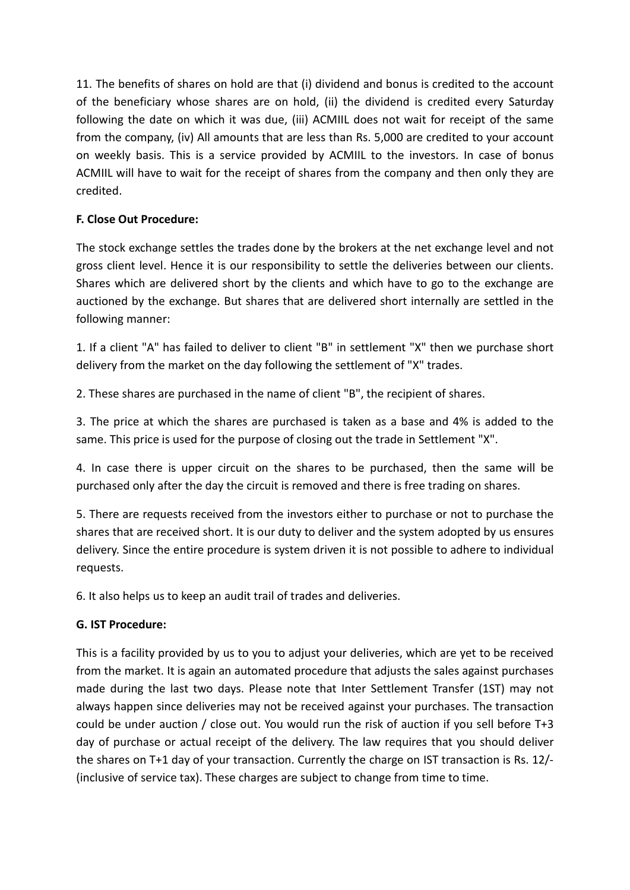11. The benefits of shares on hold are that (i) dividend and bonus is credited to the account of the beneficiary whose shares are on hold, (ii) the dividend is credited every Saturday following the date on which it was due, (iii) ACMIIL does not wait for receipt of the same from the company, (iv) All amounts that are less than Rs. 5,000 are credited to your account on weekly basis. This is a service provided by ACMIIL to the investors. In case of bonus ACMIIL will have to wait for the receipt of shares from the company and then only they are credited.

# F. Close Out Procedure:

The stock exchange settles the trades done by the brokers at the net exchange level and not gross client level. Hence it is our responsibility to settle the deliveries between our clients. Shares which are delivered short by the clients and which have to go to the exchange are auctioned by the exchange. But shares that are delivered short internally are settled in the following manner:

1. If a client "A" has failed to deliver to client "B" in settlement "X" then we purchase short delivery from the market on the day following the settlement of "X" trades.

2. These shares are purchased in the name of client "B", the recipient of shares.

3. The price at which the shares are purchased is taken as a base and 4% is added to the same. This price is used for the purpose of closing out the trade in Settlement "X".

4. In case there is upper circuit on the shares to be purchased, then the same will be purchased only after the day the circuit is removed and there is free trading on shares.

5. There are requests received from the investors either to purchase or not to purchase the shares that are received short. It is our duty to deliver and the system adopted by us ensures delivery. Since the entire procedure is system driven it is not possible to adhere to individual requests.

6. It also helps us to keep an audit trail of trades and deliveries.

## G. IST Procedure:

This is a facility provided by us to you to adjust your deliveries, which are yet to be received from the market. It is again an automated procedure that adjusts the sales against purchases made during the last two days. Please note that Inter Settlement Transfer (1ST) may not always happen since deliveries may not be received against your purchases. The transaction could be under auction / close out. You would run the risk of auction if you sell before T+3 day of purchase or actual receipt of the delivery. The law requires that you should deliver the shares on T+1 day of your transaction. Currently the charge on IST transaction is Rs. 12/- (inclusive of service tax). These charges are subject to change from time to time.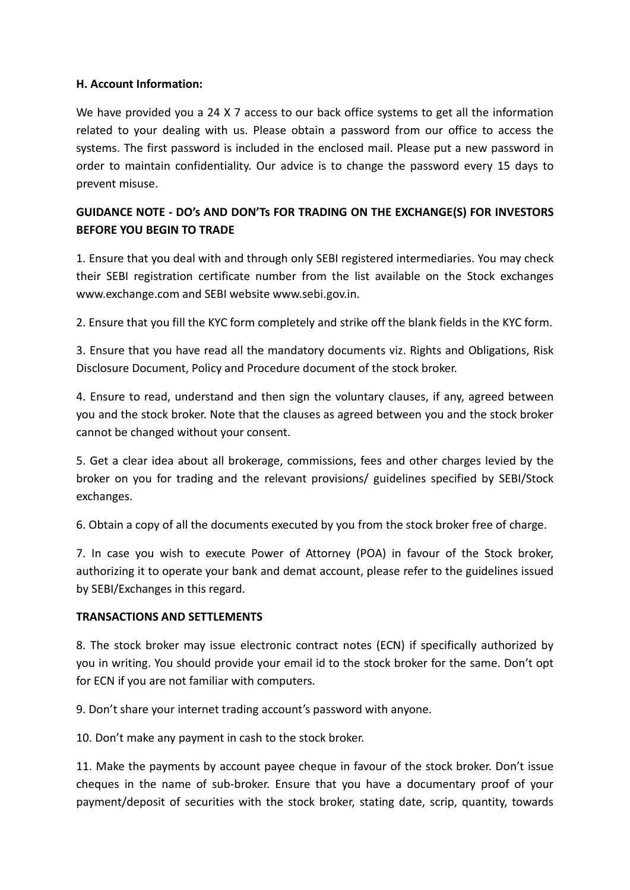### H. Account Information:

We have provided you a 24 X 7 access to our back office systems to get all the information related to your dealing with us. Please obtain a password from our office to access the systems. The first password is included in the enclosed mail. Please put a new password in order to maintain confidentiality. Our advice is to change the password every 15 days to prevent misuse.

# GUIDANCE NOTE - DO's AND DON'Ts FOR TRADING ON THE EXCHANGE(S) FOR INVESTORS BEFORE YOU BEGIN TO TRADE

1. Ensure that you deal with and through only SEBI registered intermediaries. You may check their SEBI registration certificate number from the list available on the Stock exchanges www.exchange.com and SEBI website www.sebi.gov.in.

2. Ensure that you fill the KYC form completely and strike off the blank fields in the KYC form.

3. Ensure that you have read all the mandatory documents viz. Rights and Obligations, Risk Disclosure Document, Policy and Procedure document of the stock broker.

4. Ensure to read, understand and then sign the voluntary clauses, if any, agreed between you and the stock broker. Note that the clauses as agreed between you and the stock broker cannot be changed without your consent.

5. Get a clear idea about all brokerage, commissions, fees and other charges levied by the broker on you for trading and the relevant provisions/ guidelines specified by SEBI/Stock exchanges.

6. Obtain a copy of all the documents executed by you from the stock broker free of charge.

7. In case you wish to execute Power of Attorney (POA) in favour of the Stock broker, authorizing it to operate your bank and demat account, please refer to the guidelines issued by SEBI/Exchanges in this regard.

## TRANSACTIONS AND SETTLEMENTS

8. The stock broker may issue electronic contract notes (ECN) if specifically authorized by you in writing. You should provide your email id to the stock broker for the same. Don't opt for ECN if you are not familiar with computers.

9. Don't share your internet trading account's password with anyone.

10. Don't make any payment in cash to the stock broker.

11. Make the payments by account payee cheque in favour of the stock broker. Don't issue cheques in the name of sub-broker. Ensure that you have a documentary proof of your payment/deposit of securities with the stock broker, stating date, scrip, quantity, towards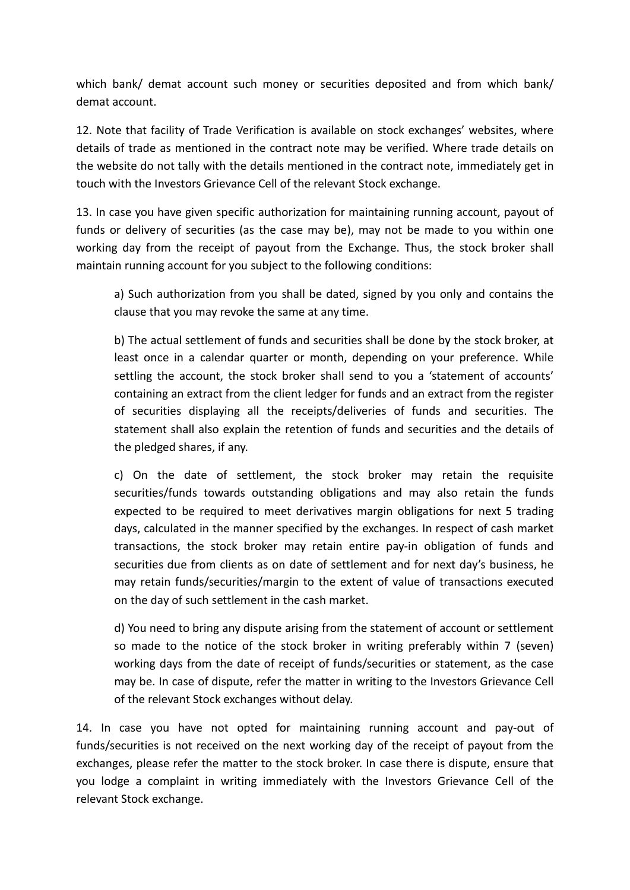which bank/ demat account such money or securities deposited and from which bank/ demat account.

12. Note that facility of Trade Verification is available on stock exchanges' websites, where details of trade as mentioned in the contract note may be verified. Where trade details on the website do not tally with the details mentioned in the contract note, immediately get in touch with the Investors Grievance Cell of the relevant Stock exchange.

13. In case you have given specific authorization for maintaining running account, payout of funds or delivery of securities (as the case may be), may not be made to you within one working day from the receipt of payout from the Exchange. Thus, the stock broker shall maintain running account for you subject to the following conditions:

a) Such authorization from you shall be dated, signed by you only and contains the clause that you may revoke the same at any time.

b) The actual settlement of funds and securities shall be done by the stock broker, at least once in a calendar quarter or month, depending on your preference. While settling the account, the stock broker shall send to you a 'statement of accounts' containing an extract from the client ledger for funds and an extract from the register of securities displaying all the receipts/deliveries of funds and securities. The statement shall also explain the retention of funds and securities and the details of the pledged shares, if any.

c) On the date of settlement, the stock broker may retain the requisite securities/funds towards outstanding obligations and may also retain the funds expected to be required to meet derivatives margin obligations for next 5 trading days, calculated in the manner specified by the exchanges. In respect of cash market transactions, the stock broker may retain entire pay-in obligation of funds and securities due from clients as on date of settlement and for next day's business, he may retain funds/securities/margin to the extent of value of transactions executed on the day of such settlement in the cash market.

d) You need to bring any dispute arising from the statement of account or settlement so made to the notice of the stock broker in writing preferably within 7 (seven) working days from the date of receipt of funds/securities or statement, as the case may be. In case of dispute, refer the matter in writing to the Investors Grievance Cell of the relevant Stock exchanges without delay.

14. In case you have not opted for maintaining running account and pay-out of funds/securities is not received on the next working day of the receipt of payout from the exchanges, please refer the matter to the stock broker. In case there is dispute, ensure that you lodge a complaint in writing immediately with the Investors Grievance Cell of the relevant Stock exchange.